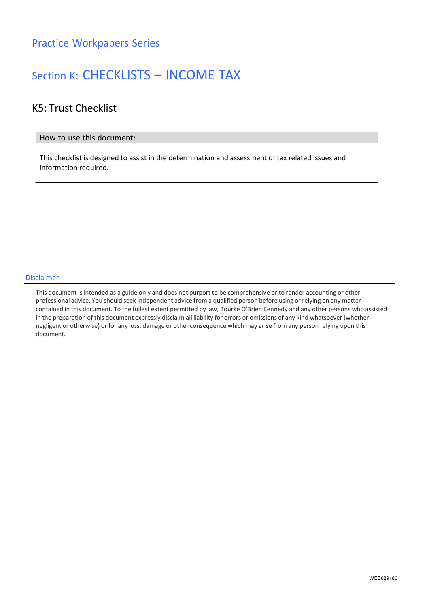## Section K: CHECKLISTS – INCOME TAX

### K5: Trust Checklist

#### How to use this document:

This checklist is designed to assist in the determination and assessment of tax related issues and information required.

#### Disclaimer

This document is intended as a guide only and does not purport to be comprehensive or to render accounting or other professional advice. You should seek independent advice from a qualified person before using or relying on any matter contained in this document. To the fullest extent permitted by law, Bourke O'Brien Kennedy and any other persons who assisted in the preparation of this document expressly disclaim all liability for errors or omissions of any kind whatsoever (whether negligent or otherwise) or for any loss, damage or other consequence which may arise from any person relying upon this document.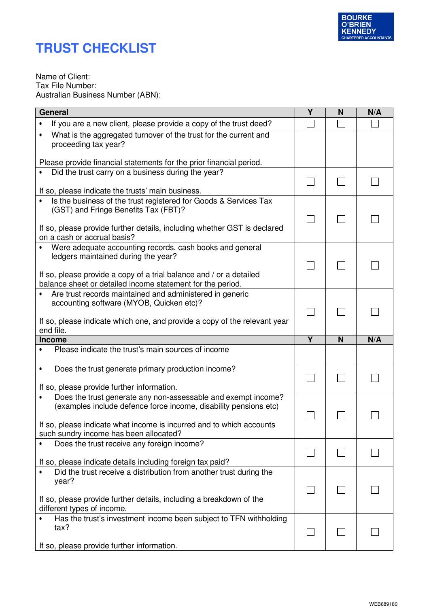

# **TRUST CHECKLIST**

Name of Client: Tax File Number: Australian Business Number (ABN):

| General                                                                                                                                   | $\overline{\mathsf{Y}}$ | N | N/A |
|-------------------------------------------------------------------------------------------------------------------------------------------|-------------------------|---|-----|
| If you are a new client, please provide a copy of the trust deed?<br>$\bullet$                                                            |                         |   |     |
| What is the aggregated turnover of the trust for the current and<br>$\bullet$<br>proceeding tax year?                                     |                         |   |     |
| Please provide financial statements for the prior financial period.                                                                       |                         |   |     |
| Did the trust carry on a business during the year?                                                                                        |                         |   |     |
| If so, please indicate the trusts' main business.                                                                                         |                         |   |     |
| Is the business of the trust registered for Goods & Services Tax<br>$\bullet$<br>(GST) and Fringe Benefits Tax (FBT)?                     |                         |   |     |
| If so, please provide further details, including whether GST is declared<br>on a cash or accrual basis?                                   |                         |   |     |
| Were adequate accounting records, cash books and general<br>ledgers maintained during the year?                                           |                         |   |     |
| If so, please provide a copy of a trial balance and / or a detailed<br>balance sheet or detailed income statement for the period.         |                         |   |     |
| Are trust records maintained and administered in generic<br>$\bullet$<br>accounting software (MYOB, Quicken etc)?                         |                         |   |     |
| If so, please indicate which one, and provide a copy of the relevant year                                                                 |                         |   |     |
| end file.                                                                                                                                 |                         |   |     |
| <b>Income</b>                                                                                                                             | $\overline{\mathsf{Y}}$ | N | N/A |
| Please indicate the trust's main sources of income                                                                                        |                         |   |     |
| Does the trust generate primary production income?                                                                                        |                         |   |     |
| If so, please provide further information.                                                                                                |                         |   |     |
| Does the trust generate any non-assessable and exempt income?<br>(examples include defence force income, disability pensions etc)         |                         |   |     |
| If so, please indicate what income is incurred and to which accounts                                                                      |                         |   |     |
| such sundry income has been allocated?<br>Does the trust receive any foreign income?                                                      |                         |   |     |
| If so, please indicate details including foreign tax paid?<br>Did the trust receive a distribution from another trust during the<br>year? |                         |   |     |
| If so, please provide further details, including a breakdown of the<br>different types of income.                                         |                         |   |     |
| Has the trust's investment income been subject to TFN withholding<br>tax?                                                                 |                         |   |     |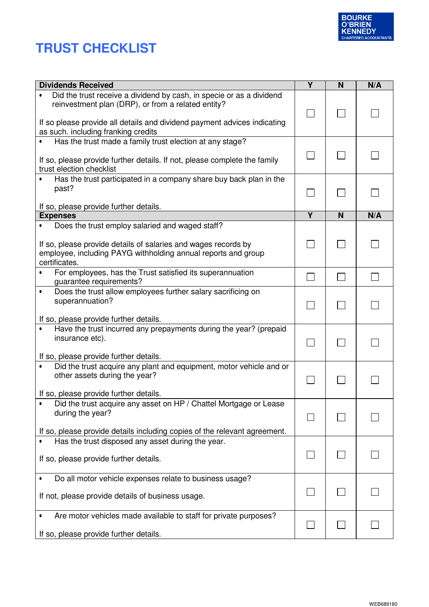

# **TRUST CHECKLIST**

| <b>Dividends Received</b>                                                                                                                                                                                           | $\overline{\mathsf{Y}}$ | N | N/A |
|---------------------------------------------------------------------------------------------------------------------------------------------------------------------------------------------------------------------|-------------------------|---|-----|
| Did the trust receive a dividend by cash, in specie or as a dividend<br>$\bullet$<br>reinvestment plan (DRP), or from a related entity?<br>If so please provide all details and dividend payment advices indicating |                         |   |     |
| as such. including franking credits                                                                                                                                                                                 |                         |   |     |
| Has the trust made a family trust election at any stage?<br>If so, please provide further details. If not, please complete the family<br>trust election checklist                                                   |                         |   |     |
| Has the trust participated in a company share buy back plan in the<br>past?                                                                                                                                         |                         |   |     |
| If so, please provide further details.                                                                                                                                                                              |                         |   |     |
| <b>Expenses</b>                                                                                                                                                                                                     | Υ                       | N | N/A |
| Does the trust employ salaried and waged staff?<br>$\bullet$<br>If so, please provide details of salaries and wages records by<br>employee, including PAYG withholding annual reports and group<br>certificates.    |                         |   |     |
| For employees, has the Trust satisfied its superannuation<br>$\bullet$<br>guarantee requirements?                                                                                                                   |                         |   |     |
| Does the trust allow employees further salary sacrificing on<br>$\bullet$<br>superannuation?                                                                                                                        |                         |   |     |
| If so, please provide further details.                                                                                                                                                                              |                         |   |     |
| Have the trust incurred any prepayments during the year? (prepaid<br>$\bullet$<br>insurance etc).                                                                                                                   |                         |   |     |
| If so, please provide further details.                                                                                                                                                                              |                         |   |     |
| Did the trust acquire any plant and equipment, motor vehicle and or<br>$\bullet$<br>other assets during the year?                                                                                                   |                         |   |     |
| If so, please provide further details.                                                                                                                                                                              |                         |   |     |
| Did the trust acquire any asset on HP / Chattel Mortgage or Lease<br>during the year?<br>If so, please provide details including copies of the relevant agreement.                                                  |                         |   |     |
| Has the trust disposed any asset during the year.                                                                                                                                                                   |                         |   |     |
| If so, please provide further details.                                                                                                                                                                              |                         |   |     |
| Do all motor vehicle expenses relate to business usage?                                                                                                                                                             |                         |   |     |
| If not, please provide details of business usage.                                                                                                                                                                   |                         |   |     |
| Are motor vehicles made available to staff for private purposes?<br>$\bullet$<br>If so, please provide further details.                                                                                             |                         |   |     |
|                                                                                                                                                                                                                     |                         |   |     |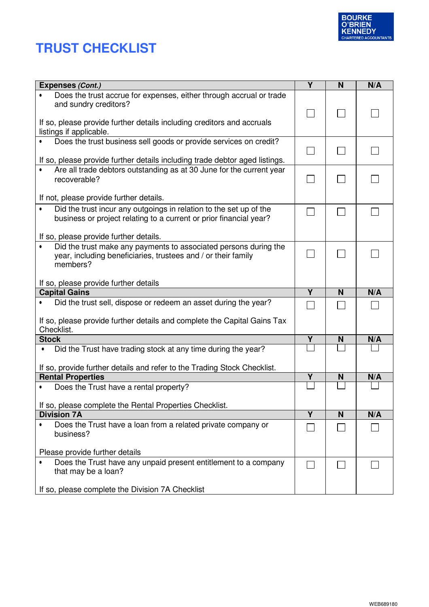



| Expenses (Cont.)                                                                                  | Y                       | N | N/A |
|---------------------------------------------------------------------------------------------------|-------------------------|---|-----|
| Does the trust accrue for expenses, either through accrual or trade<br>and sundry creditors?      |                         |   |     |
| If so, please provide further details including creditors and accruals<br>listings if applicable. |                         |   |     |
| Does the trust business sell goods or provide services on credit?                                 |                         |   |     |
|                                                                                                   |                         |   |     |
| If so, please provide further details including trade debtor aged listings.                       |                         |   |     |
| Are all trade debtors outstanding as at 30 June for the current year<br>$\bullet$                 |                         |   |     |
| recoverable?                                                                                      |                         |   |     |
| If not, please provide further details.                                                           |                         |   |     |
| Did the trust incur any outgoings in relation to the set up of the<br>$\bullet$                   |                         |   |     |
| business or project relating to a current or prior financial year?                                |                         |   |     |
|                                                                                                   |                         |   |     |
| If so, please provide further details.                                                            |                         |   |     |
| Did the trust make any payments to associated persons during the<br>$\bullet$                     |                         |   |     |
| year, including beneficiaries, trustees and / or their family<br>members?                         |                         |   |     |
|                                                                                                   |                         |   |     |
| If so, please provide further details                                                             |                         |   |     |
|                                                                                                   |                         |   |     |
| <b>Capital Gains</b>                                                                              | $\overline{\mathsf{Y}}$ | N | N/A |
| Did the trust sell, dispose or redeem an asset during the year?                                   |                         |   |     |
|                                                                                                   |                         |   |     |
| If so, please provide further details and complete the Capital Gains Tax                          |                         |   |     |
| Checklist.                                                                                        |                         |   |     |
| <b>Stock</b><br>$\bullet$                                                                         | Y                       | N | N/A |
| Did the Trust have trading stock at any time during the year?                                     |                         |   |     |
| If so, provide further details and refer to the Trading Stock Checklist.                          |                         |   |     |
| <b>Rental Properties</b>                                                                          | Y                       | N | N/A |
| Does the Trust have a rental property?<br>$\bullet$                                               |                         |   |     |
|                                                                                                   |                         |   |     |
| If so, please complete the Rental Properties Checklist.<br><b>Division 7A</b>                     | Ÿ                       |   |     |
| Does the Trust have a loan from a related private company or<br>٠                                 |                         | N | N/A |
| business?                                                                                         |                         |   |     |
|                                                                                                   |                         |   |     |
| Please provide further details                                                                    |                         |   |     |
| Does the Trust have any unpaid present entitlement to a company                                   |                         |   |     |
| that may be a loan?                                                                               |                         |   |     |